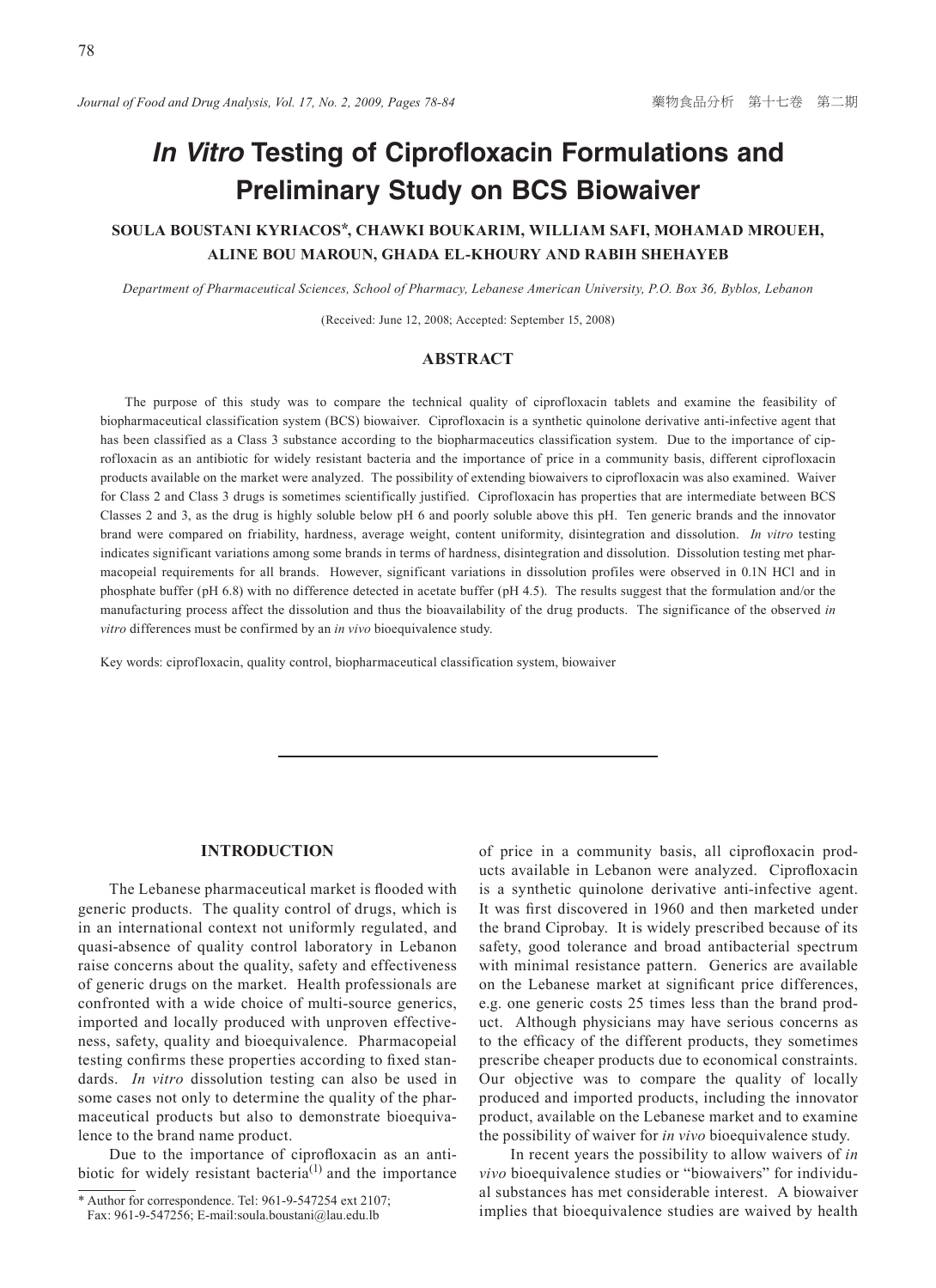# *In Vitro* **Testing of Ciprofloxacin Formulations and Preliminary Study on BCS Biowaiver**

# **SOULA BOUSTANI KYRIACOS\*, CHAWKI BOUKARIM, WILLIAM SAFI, MOHAMAD MROUEH, ALINE BOU MAROUN, GHADA EL-KHOURY AND RABIH SHEHAYEB**

*Department of Pharmaceutical Sciences, School of Pharmacy, Lebanese American University, P.O. Box 36, Byblos, Lebanon*

(Received: June 12, 2008; Accepted: September 15, 2008)

## **ABSTRACT**

The purpose of this study was to compare the technical quality of ciprofloxacin tablets and examine the feasibility of biopharmaceutical classification system (BCS) biowaiver. Ciprofloxacin is a synthetic quinolone derivative anti-infective agent that has been classified as a Class 3 substance according to the biopharmaceutics classification system. Due to the importance of ciprofloxacin as an antibiotic for widely resistant bacteria and the importance of price in a community basis, different ciprofloxacin products available on the market were analyzed. The possibility of extending biowaivers to ciprofloxacin was also examined. Waiver for Class 2 and Class 3 drugs is sometimes scientifically justified. Ciprofloxacin has properties that are intermediate between BCS Classes 2 and 3, as the drug is highly soluble below pH 6 and poorly soluble above this pH. Ten generic brands and the innovator brand were compared on friability, hardness, average weight, content uniformity, disintegration and dissolution. *In vitro* testing indicates significant variations among some brands in terms of hardness, disintegration and dissolution. Dissolution testing met pharmacopeial requirements for all brands. However, significant variations in dissolution profiles were observed in 0.1N HCl and in phosphate buffer (pH 6.8) with no difference detected in acetate buffer (pH 4.5). The results suggest that the formulation and/or the manufacturing process affect the dissolution and thus the bioavailability of the drug products. The significance of the observed *in vitro* differences must be confirmed by an *in vivo* bioequivalence study.

Key words: ciprofloxacin, quality control, biopharmaceutical classification system, biowaiver

# **INTRODUCTION**

The Lebanese pharmaceutical market is flooded with generic products. The quality control of drugs, which is in an international context not uniformly regulated, and quasi-absence of quality control laboratory in Lebanon raise concerns about the quality, safety and effectiveness of generic drugs on the market. Health professionals are confronted with a wide choice of multi-source generics, imported and locally produced with unproven effectiveness, safety, quality and bioequivalence. Pharmacopeial testing confirms these properties according to fixed standards. *In vitro* dissolution testing can also be used in some cases not only to determine the quality of the pharmaceutical products but also to demonstrate bioequivalence to the brand name product.

Due to the importance of ciprofloxacin as an antibiotic for widely resistant bacteria<sup>(1)</sup> and the importance of price in a community basis, all ciprofloxacin products available in Lebanon were analyzed. Ciprofloxacin is a synthetic quinolone derivative anti-infective agent. It was first discovered in 1960 and then marketed under the brand Ciprobay. It is widely prescribed because of its safety, good tolerance and broad antibacterial spectrum with minimal resistance pattern. Generics are available on the Lebanese market at significant price differences, e.g. one generic costs 25 times less than the brand product. Although physicians may have serious concerns as to the efficacy of the different products, they sometimes prescribe cheaper products due to economical constraints. Our objective was to compare the quality of locally produced and imported products, including the innovator product, available on the Lebanese market and to examine the possibility of waiver for *in vivo* bioequivalence study.

In recent years the possibility to allow waivers of *in vivo* bioequivalence studies or "biowaivers" for individual substances has met considerable interest. A biowaiver implies that bioequivalence studies are waived by health

<sup>\*</sup> Author for correspondence. Tel: 961-9-547254 ext 2107;

Fax: 961-9-547256; E-mail:soula.boustani@lau.edu.lb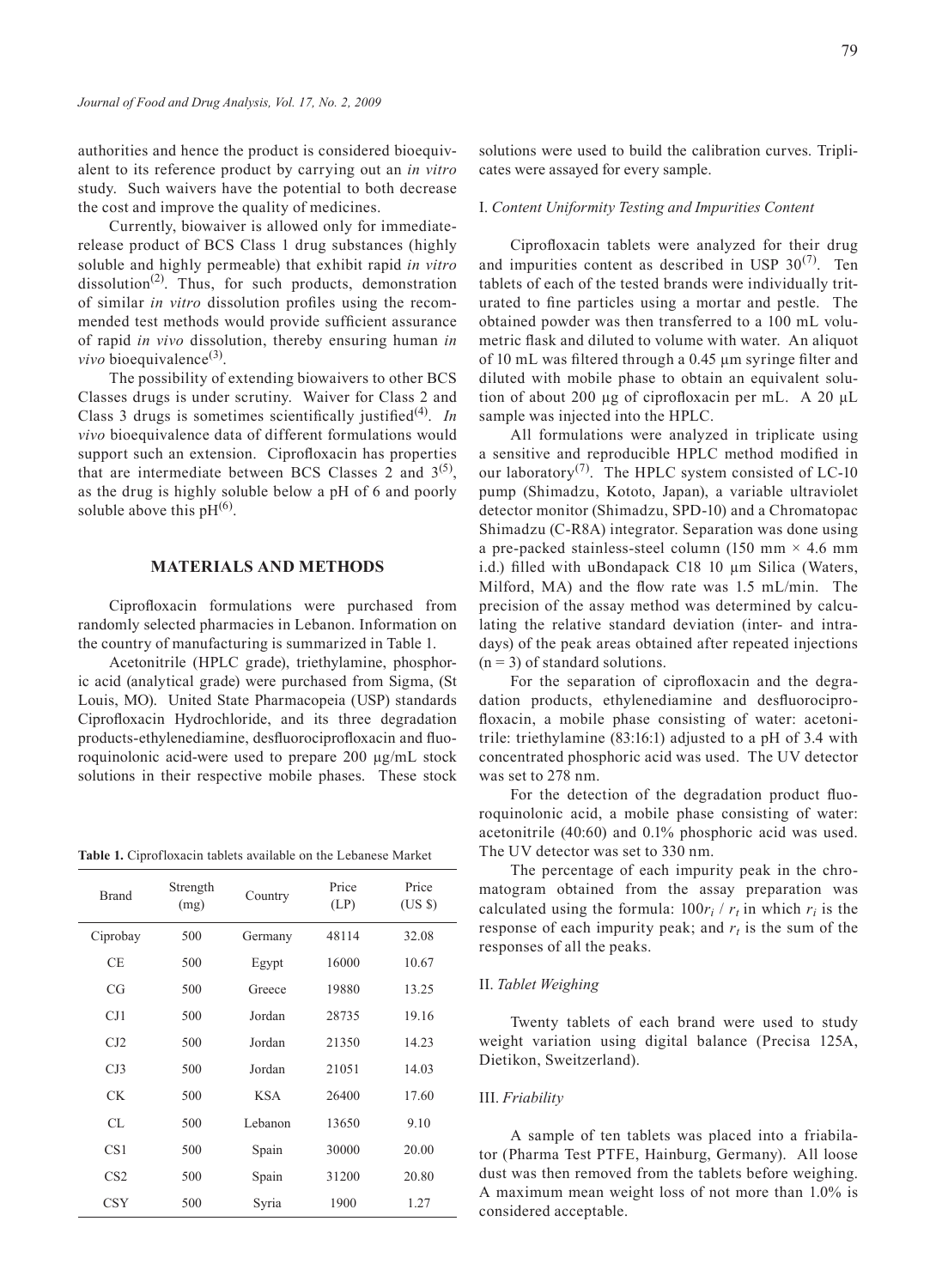authorities and hence the product is considered bioequivalent to its reference product by carrying out an *in vitro* study. Such waivers have the potential to both decrease the cost and improve the quality of medicines.

Currently, biowaiver is allowed only for immediaterelease product of BCS Class 1 drug substances (highly soluble and highly permeable) that exhibit rapid *in vitro* dissolution<sup>(2)</sup>. Thus, for such products, demonstration of similar *in vitro* dissolution profiles using the recommended test methods would provide sufficient assurance of rapid *in vivo* dissolution, thereby ensuring human *in vivo* bioequivalence<sup>(3)</sup>.

The possibility of extending biowaivers to other BCS Classes drugs is under scrutiny. Waiver for Class 2 and Class 3 drugs is sometimes scientifically justified(4). *In vivo* bioequivalence data of different formulations would support such an extension. Ciprofloxacin has properties that are intermediate between BCS Classes 2 and  $3^{(5)}$ , as the drug is highly soluble below a pH of 6 and poorly soluble above this  $pH^{(6)}$ .

## **MATERIALS AND METHODS**

Ciprofloxacin formulations were purchased from randomly selected pharmacies in Lebanon. Information on the country of manufacturing is summarized in Table 1.

Acetonitrile (HPLC grade), triethylamine, phosphoric acid (analytical grade) were purchased from Sigma, (St Louis, MO). United State Pharmacopeia (USP) standards Ciprofloxacin Hydrochloride, and its three degradation products-ethylenediamine, desfluorociprofloxacin and fluoroquinolonic acid-were used to prepare 200 µg/mL stock solutions in their respective mobile phases. These stock

**Table 1.** Ciprofloxacin tablets available on the Lebanese Market

| <b>Brand</b>    | Strength<br>(mg) | Country    | Price<br>(LP) |       |
|-----------------|------------------|------------|---------------|-------|
| Ciprobay        | 500              | Germany    | 48114         | 32.08 |
| CE.             | 500              | Egypt      | 16000         | 10.67 |
| CG              | 500              | Greece     | 19880         | 13.25 |
| CJ1             | 500              | Jordan     | 28735         | 19.16 |
| CJ2             | 500              | Jordan     | 21350         | 14.23 |
| CJ3             | 500              | Jordan     | 21051         | 14.03 |
| CК              | 500              | <b>KSA</b> | 26400         | 17.60 |
| CL.             | 500              | Lebanon    | 13650         | 9.10  |
| CS <sub>1</sub> | 500              | Spain      | 30000         | 20.00 |
| CS <sub>2</sub> | 500              | Spain      | 31200         | 20.80 |
| CSY             | 500              | Syria      | 1900          | 1.27  |

solutions were used to build the calibration curves. Triplicates were assayed for every sample.

### I. *Content Uniformity Testing and Impurities Content*

Ciprofloxacin tablets were analyzed for their drug and impurities content as described in USP  $30^{(7)}$ . Ten tablets of each of the tested brands were individually triturated to fine particles using a mortar and pestle. The obtained powder was then transferred to a 100 mL volumetric flask and diluted to volume with water. An aliquot of 10 mL was filtered through a 0.45 μm syringe filter and diluted with mobile phase to obtain an equivalent solution of about 200 µg of ciprofloxacin per mL. A 20 μL sample was injected into the HPLC.

All formulations were analyzed in triplicate using a sensitive and reproducible HPLC method modified in our laboratory<sup>(7)</sup>. The HPLC system consisted of LC-10 pump (Shimadzu, Kototo, Japan), a variable ultraviolet detector monitor (Shimadzu, SPD-10) and a Chromatopac Shimadzu (C-R8A) integrator. Separation was done using a pre-packed stainless-steel column (150 mm  $\times$  4.6 mm i.d.) filled with uBondapack C18 10 µm Silica (Waters, Milford, MA) and the flow rate was 1.5 mL/min. The precision of the assay method was determined by calculating the relative standard deviation (inter- and intradays) of the peak areas obtained after repeated injections  $(n = 3)$  of standard solutions.

For the separation of ciprofloxacin and the degradation products, ethylenediamine and desfluorociprofloxacin, a mobile phase consisting of water: acetonitrile: triethylamine (83:16:1) adjusted to a pH of 3.4 with concentrated phosphoric acid was used. The UV detector was set to 278 nm.

For the detection of the degradation product fluoroquinolonic acid, a mobile phase consisting of water: acetonitrile (40:60) and 0.1% phosphoric acid was used. The UV detector was set to 330 nm.

The percentage of each impurity peak in the chromatogram obtained from the assay preparation was calculated using the formula:  $100r_i / r_i$  in which  $r_i$  is the response of each impurity peak; and  $r<sub>t</sub>$  is the sum of the responses of all the peaks.

#### II. *Tablet Weighing*

Twenty tablets of each brand were used to study weight variation using digital balance (Precisa 125A, Dietikon, Sweitzerland).

#### III. *Friability*

A sample of ten tablets was placed into a friabilator (Pharma Test PTFE, Hainburg, Germany). All loose dust was then removed from the tablets before weighing. A maximum mean weight loss of not more than 1.0% is considered acceptable.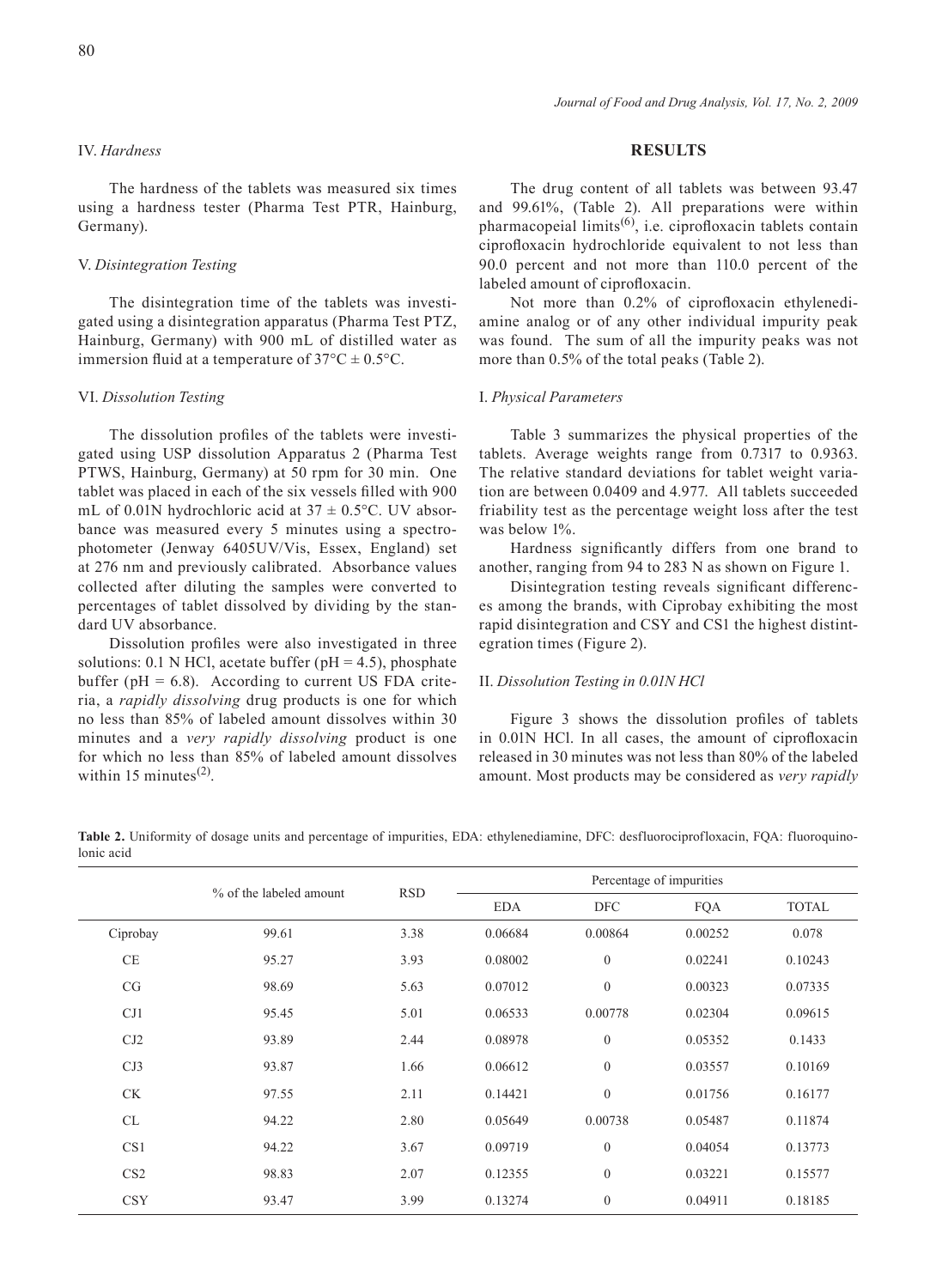#### IV. *Hardness*

The hardness of the tablets was measured six times using a hardness tester (Pharma Test PTR, Hainburg, Germany).

#### V. *Disintegration Testing*

The disintegration time of the tablets was investigated using a disintegration apparatus (Pharma Test PTZ, Hainburg, Germany) with 900 mL of distilled water as immersion fluid at a temperature of  $37^{\circ}$ C  $\pm$  0.5°C.

#### VI. *Dissolution Testing*

The dissolution profiles of the tablets were investigated using USP dissolution Apparatus 2 (Pharma Test PTWS, Hainburg, Germany) at 50 rpm for 30 min. One tablet was placed in each of the six vessels filled with 900 mL of 0.01N hydrochloric acid at  $37 \pm 0.5$ °C. UV absorbance was measured every 5 minutes using a spectrophotometer (Jenway 6405UV/Vis, Essex, England) set at 276 nm and previously calibrated. Absorbance values collected after diluting the samples were converted to percentages of tablet dissolved by dividing by the standard UV absorbance.

Dissolution profiles were also investigated in three solutions: 0.1 N HCl, acetate buffer ( $pH = 4.5$ ), phosphate buffer ( $pH = 6.8$ ). According to current US FDA criteria, a *rapidly dissolving* drug products is one for which no less than 85% of labeled amount dissolves within 30 minutes and a *very rapidly dissolving* product is one for which no less than 85% of labeled amount dissolves within 15 minutes $^{(2)}$ .

## **RESULTS**

The drug content of all tablets was between 93.47 and 99.61%, (Table 2). All preparations were within pharmacopeial limits(6), i.e. ciprofloxacin tablets contain ciprofloxacin hydrochloride equivalent to not less than 90.0 percent and not more than 110.0 percent of the labeled amount of ciprofloxacin.

Not more than 0.2% of ciprofloxacin ethylenediamine analog or of any other individual impurity peak was found. The sum of all the impurity peaks was not more than 0.5% of the total peaks (Table 2).

#### I. *Physical Parameters*

Table 3 summarizes the physical properties of the tablets. Average weights range from 0.7317 to 0.9363. The relative standard deviations for tablet weight variation are between 0.0409 and 4.977. All tablets succeeded friability test as the percentage weight loss after the test was below 1%.

Hardness significantly differs from one brand to another, ranging from 94 to 283 N as shown on Figure 1.

Disintegration testing reveals significant differences among the brands, with Ciprobay exhibiting the most rapid disintegration and CSY and CS1 the highest distintegration times (Figure 2).

#### II. *Dissolution Testing in 0.01N HCl*

Figure 3 shows the dissolution profiles of tablets in 0.01N HCl. In all cases, the amount of ciprofloxacin released in 30 minutes was not less than 80% of the labeled amount. Most products may be considered as *very rapidly* 

**Table 2.** Uniformity of dosage units and percentage of impurities, EDA: ethylenediamine, DFC: desfluorociprofloxacin, FQA: fluoroquinolonic acid

|                 | % of the labeled amount | <b>RSD</b> | Percentage of impurities |                  |            |              |
|-----------------|-------------------------|------------|--------------------------|------------------|------------|--------------|
|                 |                         |            | <b>EDA</b>               | <b>DFC</b>       | <b>FQA</b> | <b>TOTAL</b> |
| Ciprobay        | 99.61                   | 3.38       | 0.06684                  | 0.00864          | 0.00252    | 0.078        |
| CE              | 95.27                   | 3.93       | 0.08002                  | $\mathbf{0}$     | 0.02241    | 0.10243      |
| CG              | 98.69                   | 5.63       | 0.07012                  | $\mathbf{0}$     | 0.00323    | 0.07335      |
| CJ1             | 95.45                   | 5.01       | 0.06533                  | 0.00778          | 0.02304    | 0.09615      |
| CJ2             | 93.89                   | 2.44       | 0.08978                  | $\mathbf{0}$     | 0.05352    | 0.1433       |
| CJ3             | 93.87                   | 1.66       | 0.06612                  | $\mathbf{0}$     | 0.03557    | 0.10169      |
| <b>CK</b>       | 97.55                   | 2.11       | 0.14421                  | $\mathbf{0}$     | 0.01756    | 0.16177      |
| CL              | 94.22                   | 2.80       | 0.05649                  | 0.00738          | 0.05487    | 0.11874      |
| CS <sub>1</sub> | 94.22                   | 3.67       | 0.09719                  | $\mathbf{0}$     | 0.04054    | 0.13773      |
| CS <sub>2</sub> | 98.83                   | 2.07       | 0.12355                  | $\mathbf{0}$     | 0.03221    | 0.15577      |
| <b>CSY</b>      | 93.47                   | 3.99       | 0.13274                  | $\boldsymbol{0}$ | 0.04911    | 0.18185      |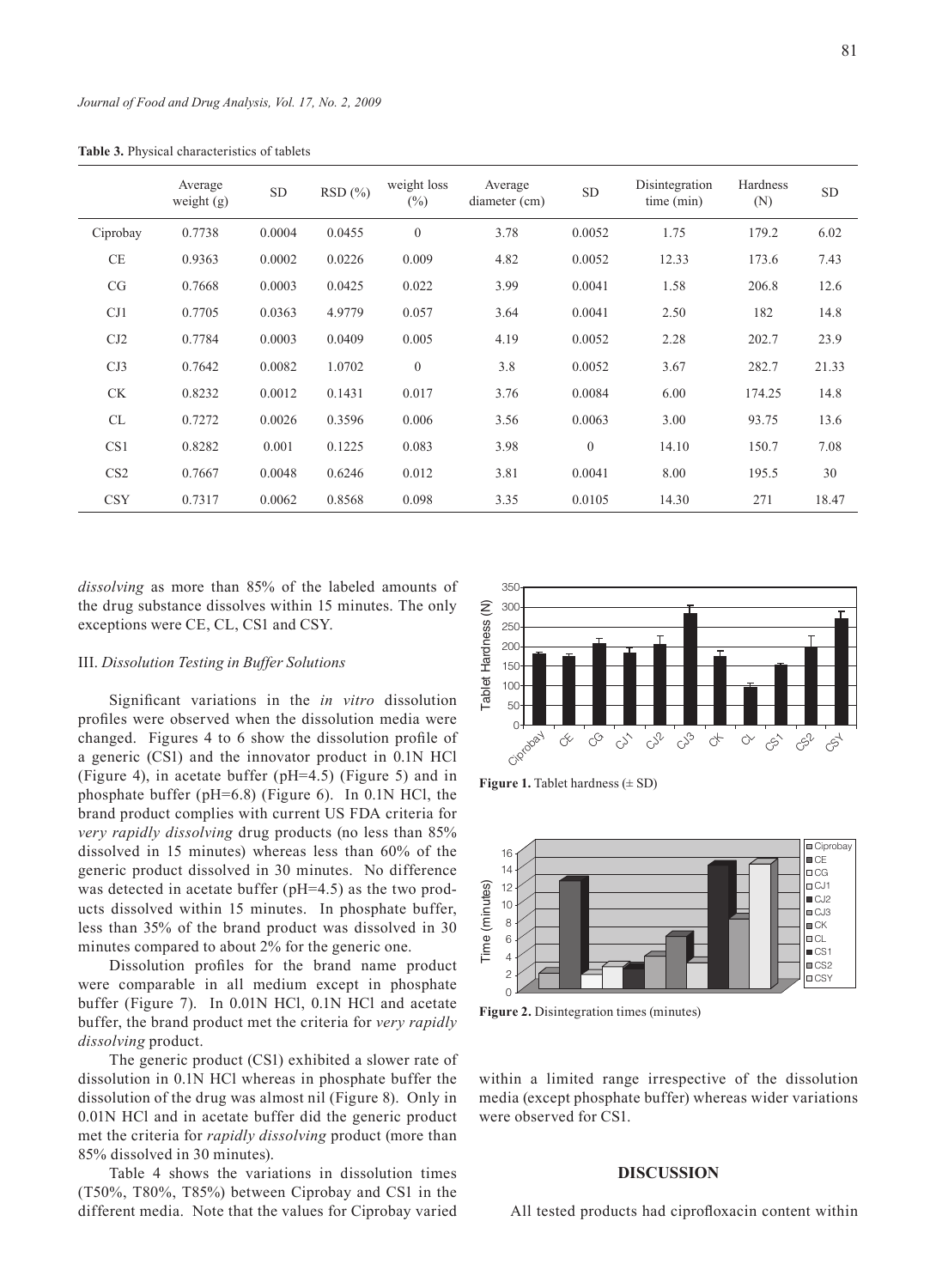|                 | Average<br>weight $(g)$ | <b>SD</b> | RSD(%) | weight loss<br>$(\%)$ | Average<br>diameter (cm) | <b>SD</b> | Disintegration<br>time (min) | Hardness<br>(N) | <b>SD</b> |
|-----------------|-------------------------|-----------|--------|-----------------------|--------------------------|-----------|------------------------------|-----------------|-----------|
| Ciprobay        | 0.7738                  | 0.0004    | 0.0455 | $\overline{0}$        | 3.78                     | 0.0052    | 1.75                         | 179.2           | 6.02      |
| <b>CE</b>       | 0.9363                  | 0.0002    | 0.0226 | 0.009                 | 4.82                     | 0.0052    | 12.33                        | 173.6           | 7.43      |
| CG              | 0.7668                  | 0.0003    | 0.0425 | 0.022                 | 3.99                     | 0.0041    | 1.58                         | 206.8           | 12.6      |
| CJ1             | 0.7705                  | 0.0363    | 4.9779 | 0.057                 | 3.64                     | 0.0041    | 2.50                         | 182             | 14.8      |
| CJ2             | 0.7784                  | 0.0003    | 0.0409 | 0.005                 | 4.19                     | 0.0052    | 2.28                         | 202.7           | 23.9      |
| CJ3             | 0.7642                  | 0.0082    | 1.0702 | $\mathbf{0}$          | 3.8                      | 0.0052    | 3.67                         | 282.7           | 21.33     |
| <b>CK</b>       | 0.8232                  | 0.0012    | 0.1431 | 0.017                 | 3.76                     | 0.0084    | 6.00                         | 174.25          | 14.8      |
| CL              | 0.7272                  | 0.0026    | 0.3596 | 0.006                 | 3.56                     | 0.0063    | 3.00                         | 93.75           | 13.6      |
| CS <sub>1</sub> | 0.8282                  | 0.001     | 0.1225 | 0.083                 | 3.98                     | $\theta$  | 14.10                        | 150.7           | 7.08      |
| CS <sub>2</sub> | 0.7667                  | 0.0048    | 0.6246 | 0.012                 | 3.81                     | 0.0041    | 8.00                         | 195.5           | 30        |
| <b>CSY</b>      | 0.7317                  | 0.0062    | 0.8568 | 0.098                 | 3.35                     | 0.0105    | 14.30                        | 271             | 18.47     |

**Table 3.** Physical characteristics of tablets

*dissolving* as more than 85% of the labeled amounts of the drug substance dissolves within 15 minutes. The only exceptions were CE, CL, CS1 and CSY.

#### III. *Dissolution Testing in Buffer Solutions*

Significant variations in the *in vitro* dissolution profiles were observed when the dissolution media were changed. Figures 4 to 6 show the dissolution profile of a generic (CS1) and the innovator product in 0.1N HCl (Figure 4), in acetate buffer (pH=4.5) (Figure 5) and in phosphate buffer (pH=6.8) (Figure 6). In 0.1N HCl, the brand product complies with current US FDA criteria for *very rapidly dissolving* drug products (no less than 85% dissolved in 15 minutes) whereas less than 60% of the generic product dissolved in 30 minutes. No difference was detected in acetate buffer (pH=4.5) as the two products dissolved within 15 minutes. In phosphate buffer, less than 35% of the brand product was dissolved in 30 minutes compared to about 2% for the generic one.

Dissolution profiles for the brand name product were comparable in all medium except in phosphate buffer (Figure 7). In 0.01N HCl, 0.1N HCl and acetate buffer, the brand product met the criteria for *very rapidly dissolving* product.

The generic product (CS1) exhibited a slower rate of dissolution in 0.1N HCl whereas in phosphate buffer the dissolution of the drug was almost nil (Figure 8). Only in 0.01N HCl and in acetate buffer did the generic product met the criteria for *rapidly dissolving* product (more than 85% dissolved in 30 minutes).

Table 4 shows the variations in dissolution times (T50%, T80%, T85%) between Ciprobay and CS1 in the different media. Note that the values for Ciprobay varied



**Figure 1.** Tablet hardness ( $\pm$  SD)



**Figure 2.** Disintegration times (minutes)

within a limited range irrespective of the dissolution media (except phosphate buffer) whereas wider variations were observed for CS1.

#### **DISCUSSION**

All tested products had ciprofloxacin content within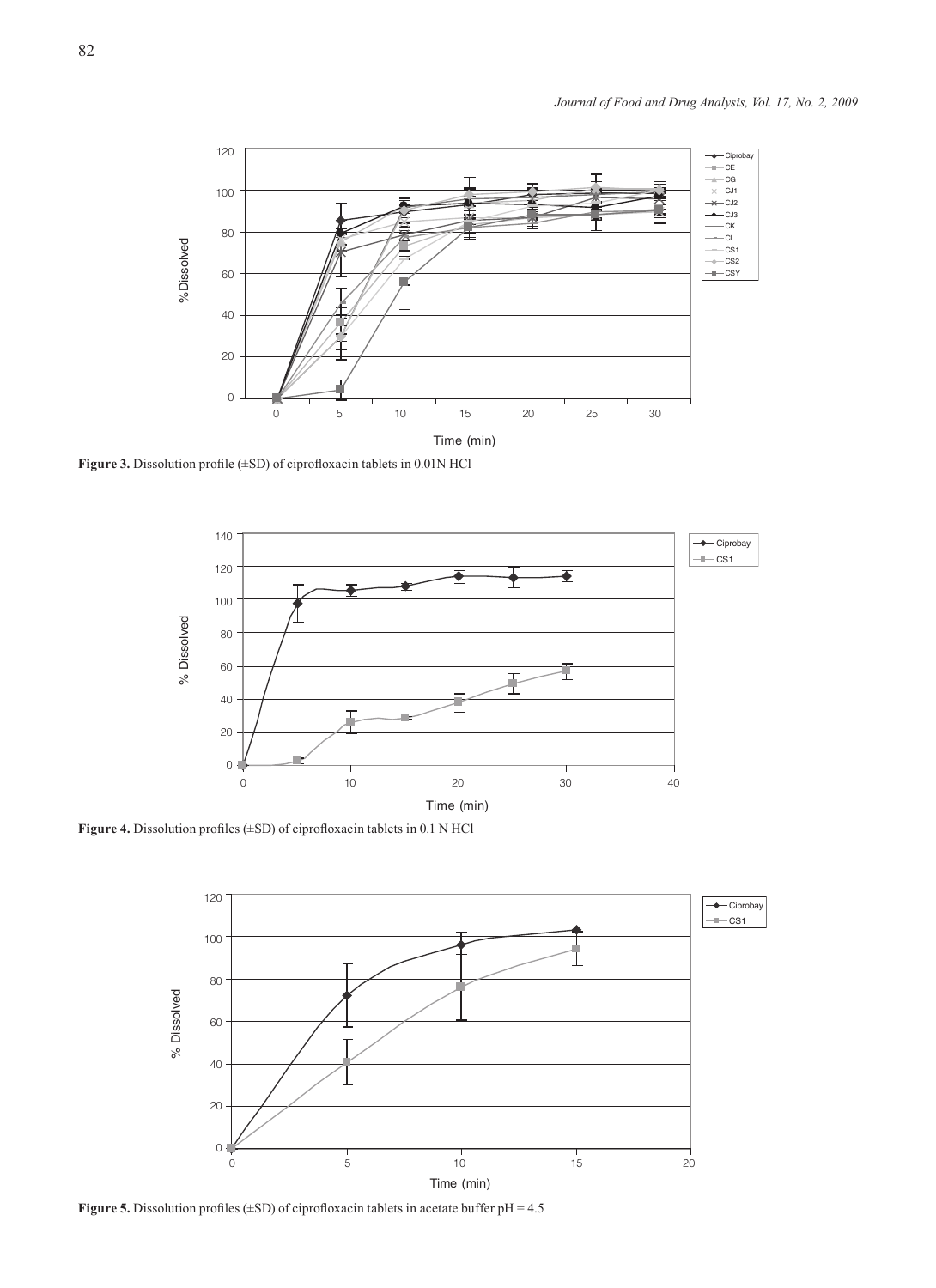

**Figure 3.** Dissolution profile (±SD) of ciprofloxacin tablets in 0.01N HCl



**Figure 4.** Dissolution profiles (±SD) of ciprofloxacin tablets in 0.1 N HCl



**Figure 5.** Dissolution profiles ( $\pm$ SD) of ciprofloxacin tablets in acetate buffer pH = 4.5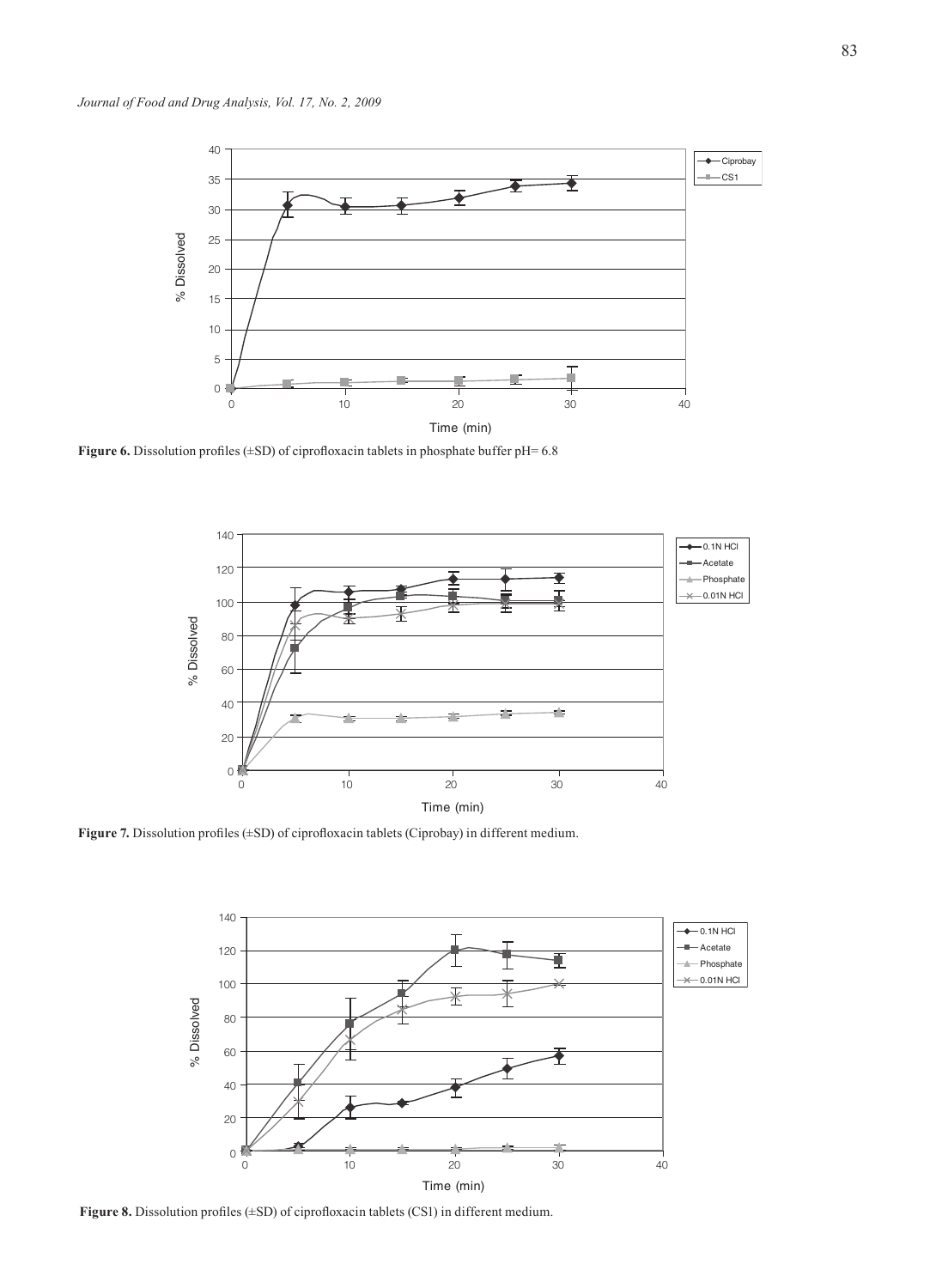

**Figure 6.** Dissolution profiles (±SD) of ciprofloxacin tablets in phosphate buffer pH= 6.8



**Figure 7.** Dissolution profiles (±SD) of ciprofloxacin tablets (Ciprobay) in different medium.



**Figure 8.** Dissolution profiles (±SD) of ciprofloxacin tablets (CS1) in different medium.